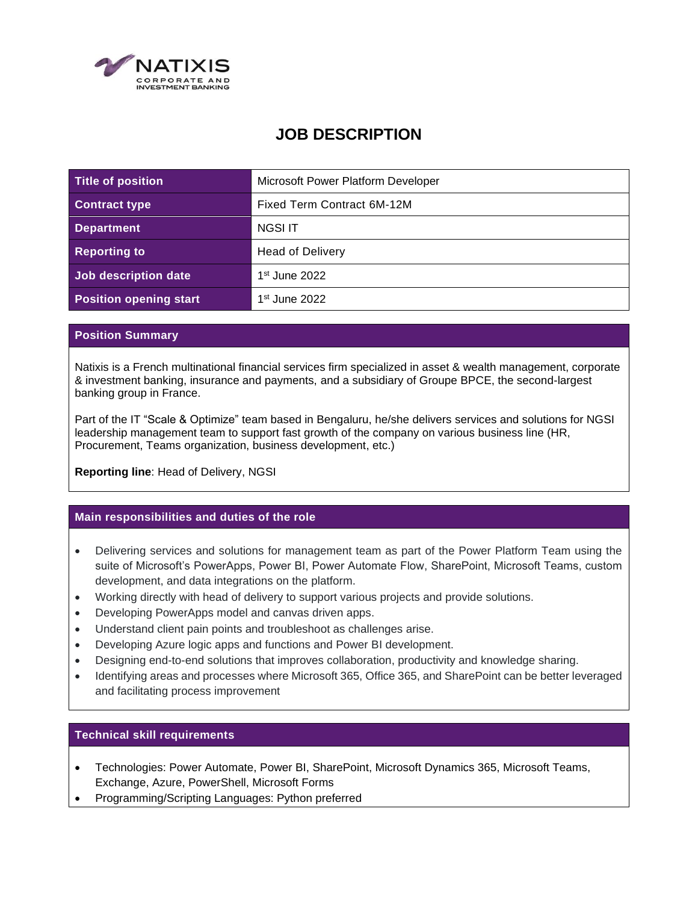

# **JOB DESCRIPTION**

| <b>Title of position</b>      | Microsoft Power Platform Developer |
|-------------------------------|------------------------------------|
| <b>Contract type</b>          | Fixed Term Contract 6M-12M         |
| <b>Department</b>             | NGSI IT                            |
| <b>Reporting to</b>           | <b>Head of Delivery</b>            |
| Job description date          | $1st$ June 2022                    |
| <b>Position opening start</b> | $1st$ June 2022                    |

## **Position Summary**

Natixis is a French multinational financial services firm specialized in asset & wealth management, corporate & investment banking, insurance and payments, and a subsidiary of Groupe BPCE, the second-largest banking group in France.

Part of the IT "Scale & Optimize" team based in Bengaluru, he/she delivers services and solutions for NGSI leadership management team to support fast growth of the company on various business line (HR, Procurement, Teams organization, business development, etc.)

**Reporting line**: Head of Delivery, NGSI

# **Main responsibilities and duties of the role**

- Delivering services and solutions for management team as part of the Power Platform Team using the suite of Microsoft's PowerApps, Power BI, Power Automate Flow, SharePoint, Microsoft Teams, custom development, and data integrations on the platform.
- Working directly with head of delivery to support various projects and provide solutions.
- Developing PowerApps model and canvas driven apps.
- Understand client pain points and troubleshoot as challenges arise.
- Developing Azure logic apps and functions and Power BI development.
- Designing end-to-end solutions that improves collaboration, productivity and knowledge sharing.
- Identifying areas and processes where Microsoft 365, Office 365, and SharePoint can be better leveraged and facilitating process improvement

## **Technical skill requirements**

- Technologies: Power Automate, Power BI, SharePoint, Microsoft Dynamics 365, Microsoft Teams, Exchange, Azure, PowerShell, Microsoft Forms
- Programming/Scripting Languages: Python preferred